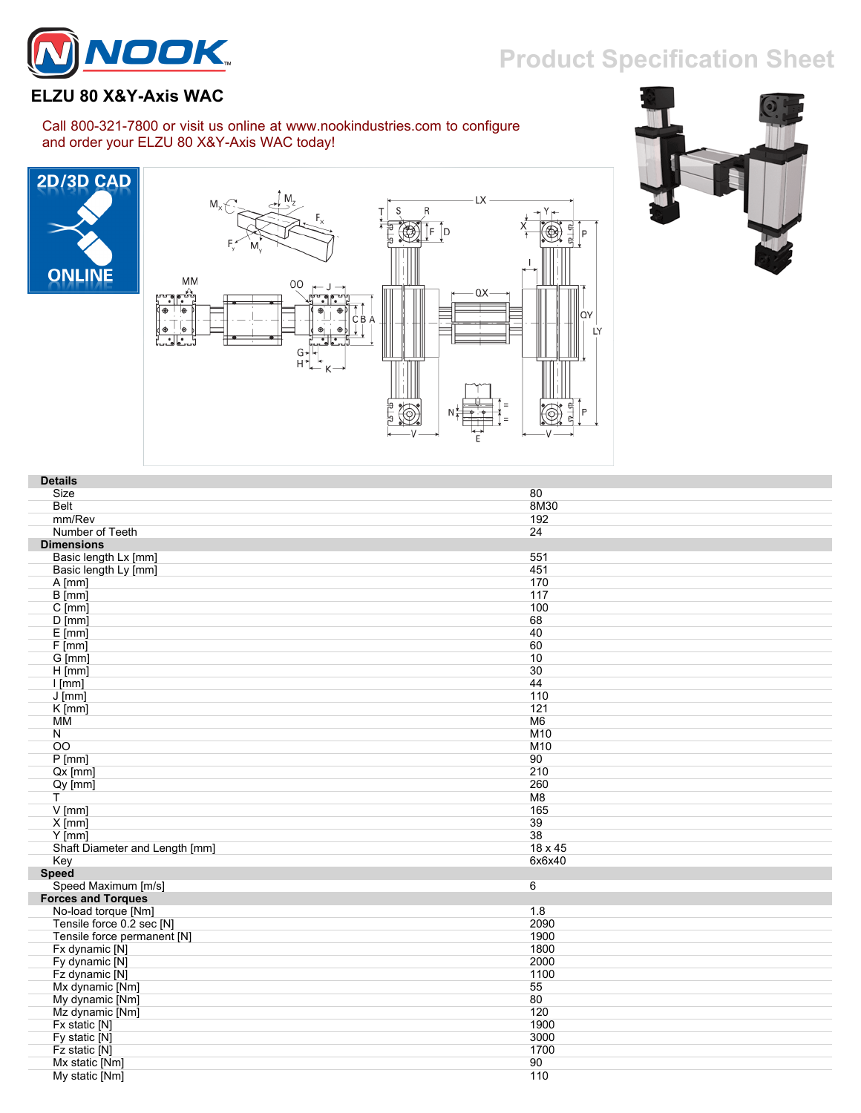## **Product Specification Sheet**



## **ELZU 80 X&Y-Axis WAC**

## Call 800-321-7800 or visit us online at www.nookindustries.com to configure and order your ELZU 80 X&Y-Axis WAC today!







| <b>Details</b>                 |         |
|--------------------------------|---------|
| Size                           | 80      |
| <b>Belt</b>                    | 8M30    |
| mm/Rev                         | 192     |
| Number of Teeth                | 24      |
| <b>Dimensions</b>              |         |
| Basic length Lx [mm]           | 551     |
| Basic length Ly [mm]           | 451     |
| $A$ [mm]                       | 170     |
| $\overline{B}$ [mm]            | 117     |
| $C$ [mm]                       | 100     |
| $D$ [mm]                       | 68      |
| $E$ [mm]                       | 40      |
| F[mm]                          | 60      |
| G [mm]                         | 10      |
| $H$ [mm]                       | 30      |
| $l$ [mm]                       | 44      |
| $J$ [mm]                       | 110     |
| $K$ [mm]                       | 121     |
| MM                             | M6      |
| N                              | M10     |
| $\overline{OO}$                | M10     |
| $P$ [mm]                       | 90      |
| $Qx$ [mm]                      | 210     |
| $Qy$ [mm]                      | 260     |
| T.                             | M8      |
| $V$ [mm]                       | 165     |
| $X$ [mm]                       | 39      |
| $Y$ [mm]                       | 38      |
| Shaft Diameter and Length [mm] | 18 x 45 |
| Key                            | 6x6x40  |
| <b>Speed</b>                   |         |
| Speed Maximum [m/s]            | 6       |
| <b>Forces and Torques</b>      |         |
| No-load torque [Nm]            | 1.8     |
| Tensile force 0.2 sec [N]      | 2090    |
| Tensile force permanent [N]    | 1900    |
| Fx dynamic [N]                 | 1800    |
| Fy dynamic [N]                 | 2000    |
| Fz dynamic [N]                 | 1100    |
| Mx dynamic [Nm]                | 55      |
| My dynamic [Nm]                | 80      |
| Mz dynamic [Nm]                | 120     |
| Fx static [N]                  | 1900    |
| Fy static [N]                  | 3000    |
| Fz static [N]                  | 1700    |
| Mx static [Nm]                 | 90      |
| My static [Nm]                 | 110     |
|                                |         |